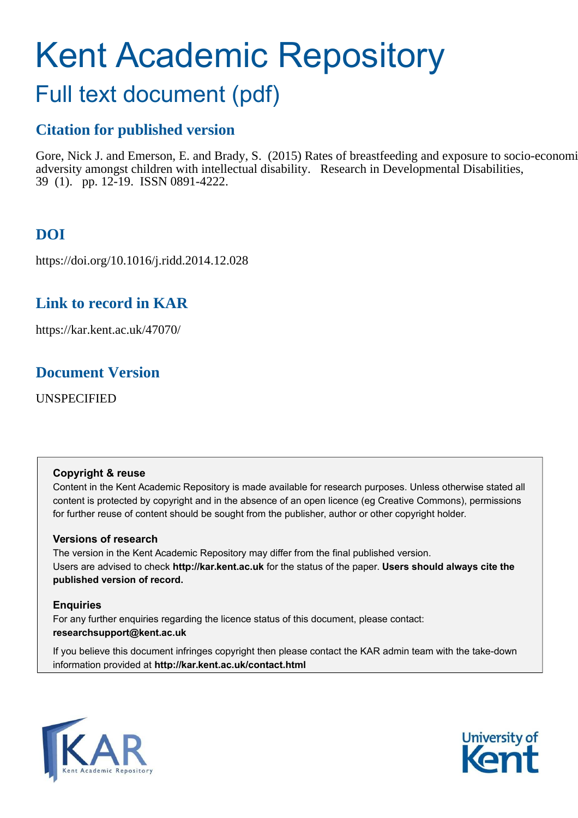# <span id="page-0-0"></span>Kent Academic Repository

## Full text document (pdf)

## **Citation for published version**

Gore, Nick J. and Emerson, E. and Brady, S. (2015) Rates of breastfeeding and exposure to socio-economic adversity amongst children with intellectual disability. Research in Developmental Disabilities, 39 (1). pp. 12-19. ISSN 0891-4222.

## **DOI**

https://doi.org/10.1016/j.ridd.2014.12.028

## **Link to record in KAR**

https://kar.kent.ac.uk/47070/

## **Document Version**

UNSPECIFIED

## **Copyright & reuse**

Content in the Kent Academic Repository is made available for research purposes. Unless otherwise stated all content is protected by copyright and in the absence of an open licence (eg Creative Commons), permissions for further reuse of content should be sought from the publisher, author or other copyright holder.

## **Versions of research**

The version in the Kent Academic Repository may differ from the final published version. Users are advised to check **http://kar.kent.ac.uk** for the status of the paper. **Users should always cite the published version of record.**

## **Enquiries**

For any further enquiries regarding the licence status of this document, please contact: **researchsupport@kent.ac.uk**

If you believe this document infringes copyright then please contact the KAR admin team with the take-down information provided at **http://kar.kent.ac.uk/contact.html**



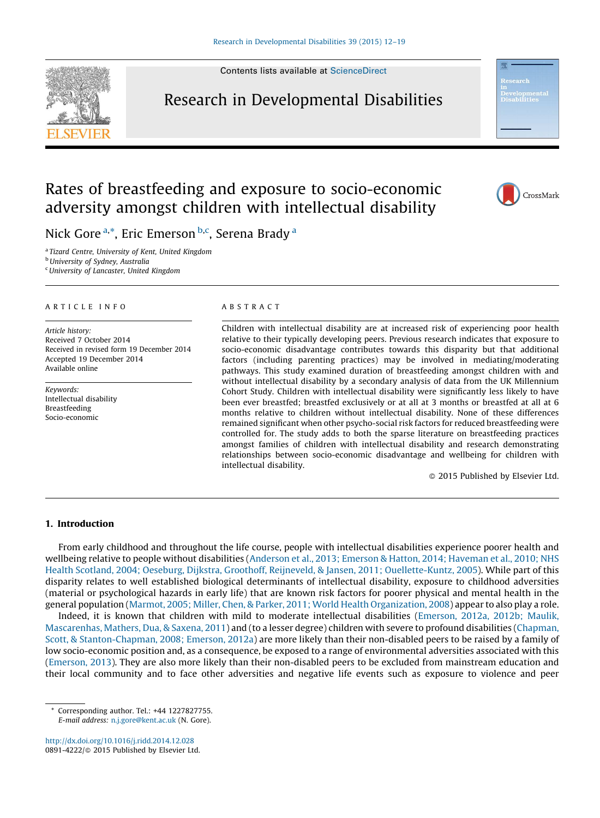Contents lists available at [ScienceDirect](http://www.sciencedirect.com/science/journal/08914222)



## Research in Developmental Disabilities



## Rates of breastfeeding and exposure to socio-economic adversity amongst children with intellectual disability



Nick Gore <sup>[a,](#page-0-0)[\\*](#page-0-0)</sup>, Eric Emerson <sup>[b,c](#page-0-0)</sup>, Seren[a](#page-0-0) Brady <sup>a</sup>

<sup>a</sup> Tizard Centre, University of Kent, United Kingdom

**b** University of Sydney, Australia

<sup>c</sup>University of Lancaster, United Kingdom

#### ARTICLE INFO

Article history: Received 7 October 2014 Received in revised form 19 December 2014 Accepted 19 December 2014 Available online

Keywords: Intellectual disability Breastfeeding Socio-economic

#### ABSTRACT

Children with intellectual disability are at increased risk of experiencing poor health relative to their typically developing peers. Previous research indicates that exposure to socio-economic disadvantage contributes towards this disparity but that additional factors (including parenting practices) may be involved in mediating/moderating pathways. This study examined duration of breastfeeding amongst children with and without intellectual disability by a secondary analysis of data from the UK Millennium Cohort Study. Children with intellectual disability were significantly less likely to have been ever breastfed; breastfed exclusively or at all at 3 months or breastfed at all at 6 months relative to children without intellectual disability. None of these differences remained significant when other psycho-social risk factors for reduced breastfeeding were controlled for. The study adds to both the sparse literature on breastfeeding practices amongst families of children with intellectual disability and research demonstrating relationships between socio-economic disadvantage and wellbeing for children with intellectual disability.

 $@$  2015 Published by Elsevier Ltd.

#### 1. Introduction

From early childhood and throughout the life course, people with intellectual disabilities experience poorer health and wellbeing relative to people without disabilities ([Anderson et al., 2013; Emerson & Hatton, 2014; Haveman et al., 2010; NHS](#page-5-0) [Health Scotland, 2004; Oeseburg, Dijkstra, Groothoff, Reijneveld, & Jansen, 2011; Ouellette-Kuntz, 2005\)](#page-5-0). While part of this disparity relates to well established biological determinants of intellectual disability, exposure to childhood adversities (material or psychological hazards in early life) that are known risk factors for poorer physical and mental health in the general population [\(Marmot, 2005; Miller, Chen, & Parker, 2011; World Health Organization, 2008](#page-6-0)) appear to also play a role.

Indeed, it is known that children with mild to moderate intellectual disabilities ([Emerson, 2012a, 2012b; Maulik,](#page-6-0) [Mascarenhas, Mathers, Dua, & Saxena, 2011](#page-6-0)) and (to a lesser degree) children with severe to profound disabilities [\(Chapman,](#page-6-0) [Scott, & Stanton-Chapman, 2008; Emerson, 2012a](#page-6-0)) are more likely than their non-disabled peers to be raised by a family of low socio-economic position and, as a consequence, be exposed to a range of environmental adversities associated with this [\(Emerson, 2013](#page-6-0)). They are also more likely than their non-disabled peers to be excluded from mainstream education and their local community and to face other adversities and negative life events such as exposure to violence and peer

<sup>\*</sup> Corresponding author. Tel.: +44 1227827755. E-mail address: [n.j.gore@kent.ac.uk](mailto:n.j.gore@kent.ac.uk) (N. Gore).

<http://dx.doi.org/10.1016/j.ridd.2014.12.028> 0891-4222/© 2015 Published by Elsevier Ltd.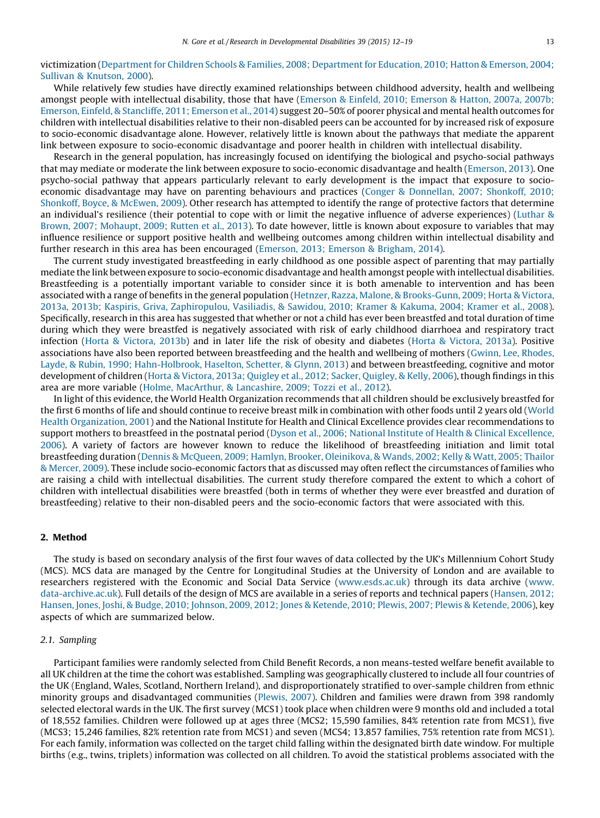victimization [\(Department for Children Schools & Families, 2008; Department for Education, 2010; Hatton & Emerson, 2004;](#page-6-0) [Sullivan & Knutson, 2000](#page-6-0)).

While relatively few studies have directly examined relationships between childhood adversity, health and wellbeing amongst people with intellectual disability, those that have [\(Emerson & Einfeld, 2010; Emerson & Hatton, 2007a, 2007b;](#page-6-0) [Emerson, Einfeld, & Stancliffe, 2011; Emerson et al., 2014](#page-6-0)) suggest 20–50% of poorer physical and mental health outcomes for children with intellectual disabilities relative to their non-disabled peers can be accounted for by increased risk of exposure to socio-economic disadvantage alone. However, relatively little is known about the pathways that mediate the apparent link between exposure to socio-economic disadvantage and poorer health in children with intellectual disability.

Research in the general population, has increasingly focused on identifying the biological and psycho-social pathways that may mediate or moderate the link between exposure to socio-economic disadvantage and health ([Emerson, 2013\)](#page-6-0). One psycho-social pathway that appears particularly relevant to early development is the impact that exposure to socioeconomic disadvantage may have on parenting behaviours and practices [\(Conger & Donnellan, 2007; Shonkoff, 2010;](#page-6-0) [Shonkoff, Boyce, & McEwen, 2009](#page-6-0)). Other research has attempted to identify the range of protective factors that determine an individual's resilience (their potential to cope with or limit the negative influence of adverse experiences) [\(Luthar &](#page-6-0) [Brown, 2007; Mohaupt, 2009; Rutten et al., 2013](#page-6-0)). To date however, little is known about exposure to variables that may influence resilience or support positive health and wellbeing outcomes among children within intellectual disability and further research in this area has been encouraged [\(Emerson, 2013; Emerson & Brigham, 2014](#page-6-0)).

The current study investigated breastfeeding in early childhood as one possible aspect of parenting that may partially mediate the link between exposure to socio-economic disadvantage and health amongst people with intellectual disabilities. Breastfeeding is a potentially important variable to consider since it is both amenable to intervention and has been associated with a range of benefits in the general population ([Hetnzer, Razza, Malone, & Brooks-Gunn, 2009; Horta & Victora,](#page-6-0) [2013a, 2013b; Kaspiris, Griva, Zaphiropulou, Vasiliadis, & Sawidou, 2010; Kramer & Kakuma, 2004; Kramer et al., 2008](#page-6-0)). Specifically, research in this area has suggested that whether or not a child has ever been breastfed and total duration of time during which they were breastfed is negatively associated with risk of early childhood diarrhoea and respiratory tract infection [\(Horta & Victora, 2013b\)](#page-6-0) and in later life the risk of obesity and diabetes ([Horta & Victora, 2013a\)](#page-6-0). Positive associations have also been reported between breastfeeding and the health and wellbeing of mothers [\(Gwinn, Lee, Rhodes,](#page-6-0) [Layde, & Rubin, 1990; Hahn-Holbrook, Haselton, Schetter, & Glynn, 2013](#page-6-0)) and between breastfeeding, cognitive and motor development of children [\(Horta & Victora, 2013a; Quigley et al., 2012; Sacker, Quigley, & Kelly, 2006\)](#page-6-0), though findings in this area are more variable ([Holme, MacArthur, & Lancashire, 2009; Tozzi et al., 2012](#page-6-0)).

In light of this evidence, the World Health Organization recommends that all children should be exclusively breastfed for the first 6 months of life and should continue to receive breast milk in combination with other foods until 2 years old [\(World](#page-7-0) [Health Organization, 2001\)](#page-7-0) and the National Institute for Health and Clinical Excellence provides clear recommendations to support mothers to breastfeed in the postnatal period [\(Dyson et al., 2006; National Institute of Health & Clinical Excellence,](#page-6-0) [2006](#page-6-0)). A variety of factors are however known to reduce the likelihood of breastfeeding initiation and limit total breastfeeding duration [\(Dennis & McQueen, 2009; Hamlyn, Brooker, Oleinikova, & Wands, 2002; Kelly & Watt, 2005; Thailor](#page-6-0) [& Mercer, 2009](#page-6-0)). These include socio-economic factors that as discussed may often reflect the circumstances of families who are raising a child with intellectual disabilities. The current study therefore compared the extent to which a cohort of children with intellectual disabilities were breastfed (both in terms of whether they were ever breastfed and duration of breastfeeding) relative to their non-disabled peers and the socio-economic factors that were associated with this.

#### 2. Method

The study is based on secondary analysis of the first four waves of data collected by the UK's Millennium Cohort Study (MCS). MCS data are managed by the Centre for Longitudinal Studies at the University of London and are available to researchers registered with the Economic and Social Data Service [\(www.esds.ac.uk\)](http://www.esds.ac.uk/) through its data archive ([www.](http://www.data-archive.ac.uk/) [data-archive.ac.uk\)](http://www.data-archive.ac.uk/). Full details of the design of MCS are available in a series of reports and technical papers [\(Hansen, 2012;](#page-6-0) [Hansen, Jones, Joshi, & Budge, 2010; Johnson, 2009, 2012; Jones & Ketende, 2010; Plewis, 2007; Plewis & Ketende, 2006](#page-6-0)), key aspects of which are summarized below.

#### 2.1. Sampling

Participant families were randomly selected from Child Benefit Records, a non means-tested welfare benefit available to all UK children at the time the cohort was established. Sampling was geographically clustered to include all four countries of the UK (England, Wales, Scotland, Northern Ireland), and disproportionately stratified to over-sample children from ethnic minority groups and disadvantaged communities [\(Plewis, 2007](#page-7-0)). Children and families were drawn from 398 randomly selected electoral wards in the UK. The first survey (MCS1) took place when children were 9 months old and included a total of 18,552 families. Children were followed up at ages three (MCS2; 15,590 families, 84% retention rate from MCS1), five (MCS3; 15,246 families, 82% retention rate from MCS1) and seven (MCS4; 13,857 families, 75% retention rate from MCS1). For each family, information was collected on the target child falling within the designated birth date window. For multiple births (e.g., twins, triplets) information was collected on all children. To avoid the statistical problems associated with the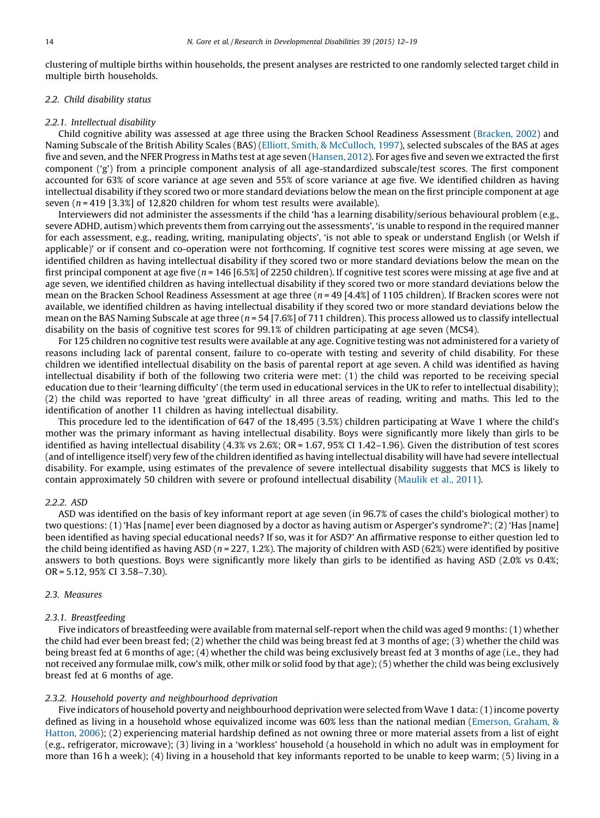<span id="page-3-0"></span>clustering of multiple births within households, the present analyses are restricted to one randomly selected target child in multiple birth households.

#### 2.2. Child disability status

#### 2.2.1. Intellectual disability

Child cognitive ability was assessed at age three using the Bracken School Readiness Assessment [\(Bracken, 2002](#page-5-0)) and Naming Subscale of the British Ability Scales (BAS) ([Elliott, Smith, & McCulloch, 1997](#page-6-0)), selected subscales of the BAS at ages five and seven, and the NFER Progress in Maths test at age seven [\(Hansen, 2012](#page-6-0)). For ages five and seven we extracted the first component ('g') from a principle component analysis of all age-standardized subscale/test scores. The first component accounted for 63% of score variance at age seven and 55% of score variance at age five. We identified children as having intellectual disability if they scored two or more standard deviations below the mean on the first principle component at age seven  $(n = 419 \mid 3.3\%]$  of 12,820 children for whom test results were available).

Interviewers did not administer the assessments if the child 'has a learning disability/serious behavioural problem (e.g., severe ADHD, autism) which prevents them from carrying out the assessments', 'is unable to respond in the required manner for each assessment, e.g., reading, writing, manipulating objects', 'is not able to speak or understand English (or Welsh if applicable)' or if consent and co-operation were not forthcoming. If cognitive test scores were missing at age seven, we identified children as having intellectual disability if they scored two or more standard deviations below the mean on the first principal component at age five ( $n = 146$  [6.5%] of 2250 children). If cognitive test scores were missing at age five and at age seven, we identified children as having intellectual disability if they scored two or more standard deviations below the mean on the Bracken School Readiness Assessment at age three ( $n = 49$  [4.4%] of 1105 children). If Bracken scores were not available, we identified children as having intellectual disability if they scored two or more standard deviations below the mean on the BAS Naming Subscale at age three ( $n = 54$  [7.6%] of 711 children). This process allowed us to classify intellectual disability on the basis of cognitive test scores for 99.1% of children participating at age seven (MCS4).

For 125 children no cognitive test results were available at any age. Cognitive testing was not administered for a variety of reasons including lack of parental consent, failure to co-operate with testing and severity of child disability. For these children we identified intellectual disability on the basis of parental report at age seven. A child was identified as having intellectual disability if both of the following two criteria were met: (1) the child was reported to be receiving special education due to their 'learning difficulty' (the term used in educational services in the UK to refer to intellectual disability); (2) the child was reported to have 'great difficulty' in all three areas of reading, writing and maths. This led to the identification of another 11 children as having intellectual disability.

This procedure led to the identification of 647 of the 18,495 (3.5%) children participating at Wave 1 where the child's mother was the primary informant as having intellectual disability. Boys were significantly more likely than girls to be identified as having intellectual disability (4.3% vs 2.6%; OR = 1.67, 95% CI 1.42–1.96). Given the distribution of test scores (and of intelligence itself) very few of the children identified as having intellectual disability will have had severe intellectual disability. For example, using estimates of the prevalence of severe intellectual disability suggests that MCS is likely to contain approximately 50 children with severe or profound intellectual disability [\(Maulik et al., 2011](#page-6-0)).

#### 2.2.2. ASD

ASD was identified on the basis of key informant report at age seven (in 96.7% of cases the child's biological mother) to two questions: (1) 'Has [name] ever been diagnosed by a doctor as having autism or Asperger's syndrome?'; (2) 'Has [name] been identified as having special educational needs? If so, was it for ASD?' An affirmative response to either question led to the child being identified as having ASD ( $n = 227, 1.2%$ ). The majority of children with ASD (62%) were identified by positive answers to both questions. Boys were significantly more likely than girls to be identified as having ASD (2.0% vs 0.4%; OR = 5.12, 95% CI 3.58–7.30).

#### 2.3. Measures

#### 2.3.1. Breastfeeding

Five indicators of breastfeeding were available from maternal self-report when the child was aged 9 months: (1) whether the child had ever been breast fed; (2) whether the child was being breast fed at 3 months of age; (3) whether the child was being breast fed at 6 months of age; (4) whether the child was being exclusively breast fed at 3 months of age (i.e., they had not received any formulae milk, cow's milk, other milk or solid food by that age); (5) whether the child was being exclusively breast fed at 6 months of age.

#### 2.3.2. Household poverty and neighbourhood deprivation

Five indicators of household poverty and neighbourhood deprivation were selected from Wave 1 data: (1) income poverty defined as living in a household whose equivalized income was 60% less than the national median [\(Emerson, Graham, &](#page-6-0) [Hatton, 2006\)](#page-6-0); (2) experiencing material hardship defined as not owning three or more material assets from a list of eight (e.g., refrigerator, microwave); (3) living in a 'workless' household (a household in which no adult was in employment for more than 16 h a week); (4) living in a household that key informants reported to be unable to keep warm; (5) living in a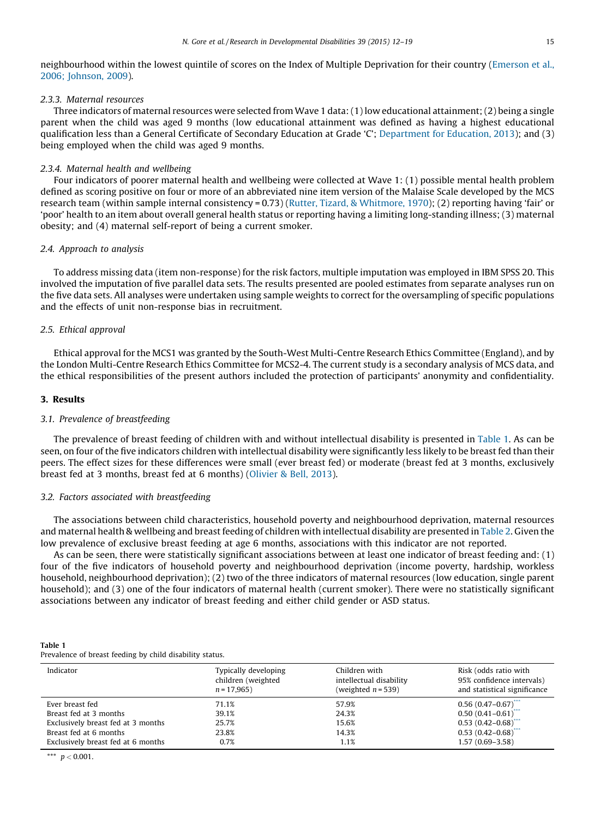<span id="page-4-0"></span>neighbourhood within the lowest quintile of scores on the Index of Multiple Deprivation for their country ([Emerson et al.,](#page-6-0) [2006; Johnson, 2009](#page-6-0)).

#### 2.3.3. Maternal resources

Three indicators of maternal resources were selected from Wave 1 data: (1) low educational attainment; (2) being a single parent when the child was aged 9 months (low educational attainment was defined as having a highest educational qualification less than a General Certificate of Secondary Education at Grade 'C'; [Department for Education, 2013](#page-6-0)); and (3) being employed when the child was aged 9 months.

#### 2.3.4. Maternal health and wellbeing

Four indicators of poorer maternal health and wellbeing were collected at Wave 1: (1) possible mental health problem defined as scoring positive on four or more of an abbreviated nine item version of the Malaise Scale developed by the MCS research team (within sample internal consistency = 0.73) [\(Rutter, Tizard, & Whitmore, 1970\)](#page-7-0); (2) reporting having 'fair' or 'poor' health to an item about overall general health status or reporting having a limiting long-standing illness; (3) maternal obesity; and (4) maternal self-report of being a current smoker.

#### 2.4. Approach to analysis

To address missing data (item non-response) for the risk factors, multiple imputation was employed in IBM SPSS 20. This involved the imputation of five parallel data sets. The results presented are pooled estimates from separate analyses run on the five data sets. All analyses were undertaken using sample weights to correct for the oversampling of specific populations and the effects of unit non-response bias in recruitment.

#### 2.5. Ethical approval

Ethical approval for the MCS1 was granted by the South-West Multi-Centre Research Ethics Committee (England), and by the London Multi-Centre Research Ethics Committee for MCS2-4. The current study is a secondary analysis of MCS data, and the ethical responsibilities of the present authors included the protection of participants' anonymity and confidentiality.

#### 3. Results

#### 3.1. Prevalence of breastfeeding

The prevalence of breast feeding of children with and without intellectual disability is presented in [Table 1.](#page-3-0) As can be seen, on four of the five indicators children with intellectual disability were significantly less likely to be breast fed than their peers. The effect sizes for these differences were small (ever breast fed) or moderate (breast fed at 3 months, exclusively breast fed at 3 months, breast fed at 6 months) [\(Olivier & Bell, 2013\)](#page-7-0).

#### 3.2. Factors associated with breastfeeding

The associations between child characteristics, household poverty and neighbourhood deprivation, maternal resources and maternal health & wellbeing and breast feeding of children with intellectual disability are presented in Table 2. Given the low prevalence of exclusive breast feeding at age 6 months, associations with this indicator are not reported.

As can be seen, there were statistically significant associations between at least one indicator of breast feeding and: (1) four of the five indicators of household poverty and neighbourhood deprivation (income poverty, hardship, workless household, neighbourhood deprivation); (2) two of the three indicators of maternal resources (low education, single parent household); and (3) one of the four indicators of maternal health (current smoker). There were no statistically significant associations between any indicator of breast feeding and either child gender or ASD status.

| Table 1                                                  |  |
|----------------------------------------------------------|--|
| Prevalence of breast feeding by child disability status. |  |

| Indicator                          | Typically developing<br>children (weighted<br>$n = 17,965$ | Children with<br>intellectual disability<br>(weighted $n = 539$ ) | Risk (odds ratio with<br>95% confidence intervals)<br>and statistical significance |
|------------------------------------|------------------------------------------------------------|-------------------------------------------------------------------|------------------------------------------------------------------------------------|
| Ever breast fed                    | 71.1%                                                      | 57.9%                                                             | $0.56(0.47-0.67)$                                                                  |
| Breast fed at 3 months             | 39.1%                                                      | 24.3%                                                             | $0.50(0.41 - 0.61)$                                                                |
| Exclusively breast fed at 3 months | 25.7%                                                      | 15.6%                                                             | $0.53(0.42 - 0.68)$                                                                |
| Breast fed at 6 months             | 23.8%                                                      | 14.3%                                                             | $0.53(0.42 - 0.68)$                                                                |
| Exclusively breast fed at 6 months | 0.7%                                                       | 1.1%                                                              | $1.57(0.69 - 3.58)$                                                                |

\*\*\*  $p < 0.001$ .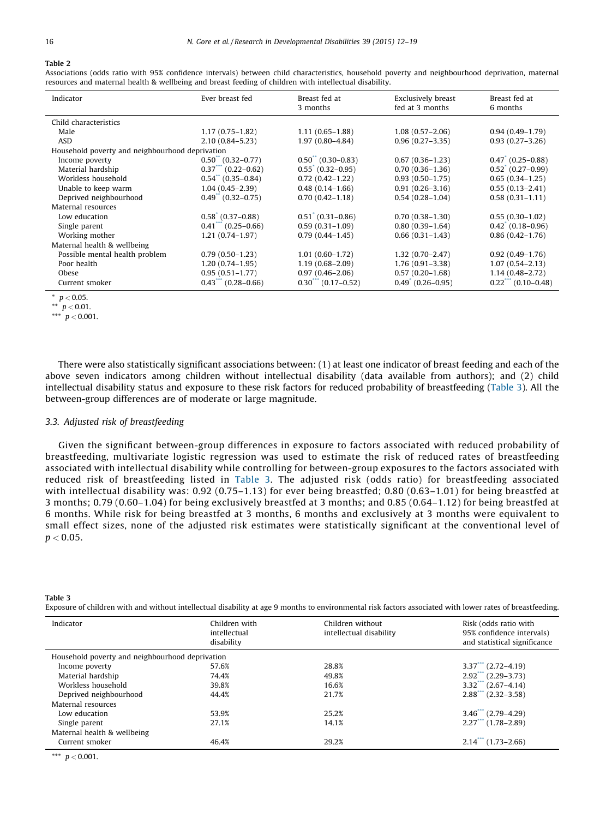#### <span id="page-5-0"></span>Table 2

Associations (odds ratio with 95% confidence intervals) between child characteristics, household poverty and neighbourhood deprivation, maternal resources and maternal health & wellbeing and breast feeding of children with intellectual disability.

| Indicator                                       | Ever breast fed        | Breast fed at<br>3 months | Exclusively breast<br>fed at 3 months | Breast fed at<br>6 months    |
|-------------------------------------------------|------------------------|---------------------------|---------------------------------------|------------------------------|
| Child characteristics                           |                        |                           |                                       |                              |
| Male                                            | $1.17(0.75 - 1.82)$    | $1.11(0.65-1.88)$         | $1.08(0.57-2.06)$                     | $0.94(0.49-1.79)$            |
| <b>ASD</b>                                      | $2.10(0.84 - 5.23)$    | $1.97(0.80 - 4.84)$       | $0.96(0.27 - 3.35)$                   | $0.93(0.27 - 3.26)$          |
| Household poverty and neighbourhood deprivation |                        |                           |                                       |                              |
| Income poverty                                  | $0.50$ $(0.32 - 0.77)$ | $0.50$ $(0.30 - 0.83)$    | $0.67(0.36 - 1.23)$                   | $0.47$ (0.25-0.88)           |
| Material hardship                               | $0.37$ $(0.22 - 0.62)$ | $0.55$ (0.32-0.95)        | $0.70(0.36 - 1.36)$                   | $0.52^{\degree}$ (0.27-0.99) |
| Workless household                              | $0.54$ $(0.35 - 0.84)$ | $0.72(0.42 - 1.22)$       | $0.93(0.50-1.75)$                     | $0.65(0.34-1.25)$            |
| Unable to keep warm                             | $1.04(0.45 - 2.39)$    | $0.48(0.14 - 1.66)$       | $0.91(0.26 - 3.16)$                   | $0.55(0.13 - 2.41)$          |
| Deprived neighbourhood                          | $0.49$ $(0.32 - 0.75)$ | $0.70(0.42 - 1.18)$       | $0.54(0.28 - 1.04)$                   | $0.58(0.31 - 1.11)$          |
| Maternal resources                              |                        |                           |                                       |                              |
| Low education                                   | $0.58$ (0.37-0.88)     | $0.51$ (0.31-0.86)        | $0.70(0.38 - 1.30)$                   | $0.55(0.30-1.02)$            |
| Single parent                                   | $0.41$ (0.25 – 0.66)   | $0.59(0.31 - 1.09)$       | $0.80(0.39 - 1.64)$                   | $0.42^{\degree}$ (0.18-0.96) |
| Working mother                                  | $1.21(0.74 - 1.97)$    | $0.79(0.44 - 1.45)$       | $0.66(0.31-1.43)$                     | $0.86(0.42 - 1.76)$          |
| Maternal health & wellbeing                     |                        |                           |                                       |                              |
| Possible mental health problem                  | $0.79(0.50-1.23)$      | $1.01(0.60 - 1.72)$       | $1.32(0.70-2.47)$                     | $0.92(0.49 - 1.76)$          |
| Poor health                                     | $1.20(0.74 - 1.95)$    | $1.19(0.68 - 2.09)$       | $1.76(0.91 - 3.38)$                   | $1.07(0.54 - 2.13)$          |
| Obese                                           | $0.95(0.51 - 1.77)$    | $0.97(0.46 - 2.06)$       | $0.57(0.20-1.68)$                     | $1.14(0.48 - 2.72)$          |
| Current smoker                                  | $0.43$ (0.28 – 0.66)   | $0.30$ (0.17-0.52)        | $0.49$ (0.26-0.95)                    | $0.22$ (0.10-0.48)           |

 $*$   $p < 0.05$ .

\*\*\*  $p < 0.001$ .

There were also statistically significant associations between: (1) at least one indicator of breast feeding and each of the above seven indicators among children without intellectual disability (data available from authors); and (2) child intellectual disability status and exposure to these risk factors for reduced probability of breastfeeding ([Table 3\)](#page-4-0). All the between-group differences are of moderate or large magnitude.

#### 3.3. Adjusted risk of breastfeeding

Given the significant between-group differences in exposure to factors associated with reduced probability of breastfeeding, multivariate logistic regression was used to estimate the risk of reduced rates of breastfeeding associated with intellectual disability while controlling for between-group exposures to the factors associated with reduced risk of breastfeeding listed in [Table 3.](#page-4-0) The adjusted risk (odds ratio) for breastfeeding associated with intellectual disability was: 0.92 (0.75-1.13) for ever being breastfed; 0.80 (0.63-1.01) for being breastfed at 3 months; 0.79 (0.60–1.04) for being exclusively breastfed at 3 months; and 0.85 (0.64–1.12) for being breastfed at 6 months. While risk for being breastfed at 3 months, 6 months and exclusively at 3 months were equivalent to small effect sizes, none of the adjusted risk estimates were statistically significant at the conventional level of  $p < 0.05$ .

Table 3

Exposure of children with and without intellectual disability at age 9 months to environmental risk factors associated with lower rates of breastfeeding.

| Indicator                                       | Children with<br>intellectual<br>disability | Children without<br>intellectual disability | Risk (odds ratio with<br>95% confidence intervals)<br>and statistical significance |  |
|-------------------------------------------------|---------------------------------------------|---------------------------------------------|------------------------------------------------------------------------------------|--|
| Household poverty and neighbourhood deprivation |                                             |                                             |                                                                                    |  |
| Income poverty                                  | 57.6%                                       | 28.8%                                       | $3.37$ $(2.72 - 4.19)$                                                             |  |
| Material hardship                               | 74.4%                                       | 49.8%                                       | $2.92$ (2.29-3.73)                                                                 |  |
| Workless household                              | 39.8%                                       | 16.6%                                       | $3.32$ (2.67-4.14)                                                                 |  |
| Deprived neighbourhood                          | 44.4%                                       | 21.7%                                       | $2.88$ (2.32–3.58)                                                                 |  |
| Maternal resources                              |                                             |                                             |                                                                                    |  |
| Low education                                   | 53.9%                                       | 25.2%                                       | $3.46$ $(2.79-4.29)$                                                               |  |
| Single parent                                   | 27.1%                                       | 14.1%                                       | $2.27$ (1.78-2.89)                                                                 |  |
| Maternal health & wellbeing                     |                                             |                                             |                                                                                    |  |
| Current smoker                                  | 46.4%                                       | 29.2%                                       | $2.14$ $(1.73 - 2.66)$                                                             |  |

\*\*\*  $p < 0.001$ .

<sup>\*\*</sup>  $p < 0.01$ .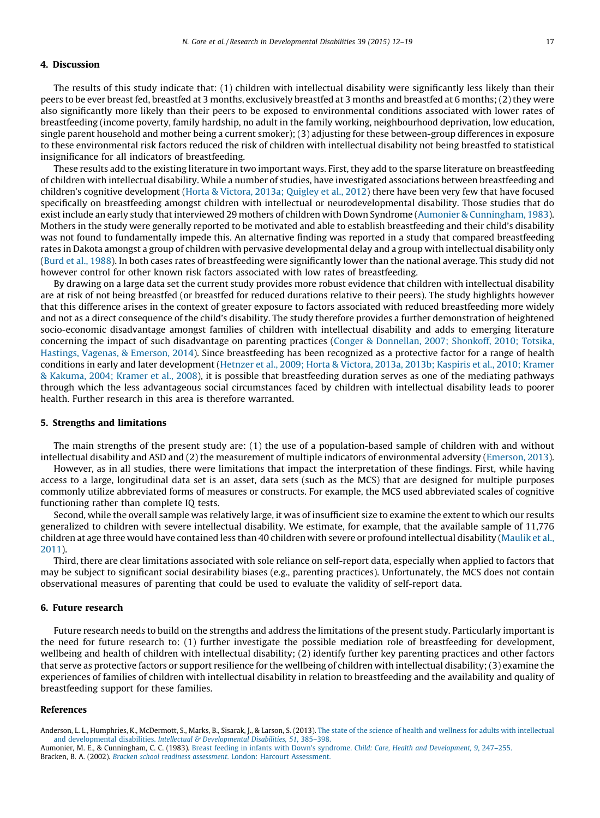#### <span id="page-6-0"></span>4. Discussion

The results of this study indicate that: (1) children with intellectual disability were significantly less likely than their peers to be ever breast fed, breastfed at 3 months, exclusively breastfed at 3 months and breastfed at 6 months; (2) they were also significantly more likely than their peers to be exposed to environmental conditions associated with lower rates of breastfeeding (income poverty, family hardship, no adult in the family working, neighbourhood deprivation, low education, single parent household and mother being a current smoker); (3) adjusting for these between-group differences in exposure to these environmental risk factors reduced the risk of children with intellectual disability not being breastfed to statistical insignificance for all indicators of breastfeeding.

These results add to the existing literature in two important ways. First, they add to the sparse literature on breastfeeding of children with intellectual disability. While a number of studies, have investigated associations between breastfeeding and children's cognitive development (Horta & Victora, 2013a; Quigley et al., 2012) there have been very few that have focused specifically on breastfeeding amongst children with intellectual or neurodevelopmental disability. Those studies that do exist include an early study that interviewed 29 mothers of children with Down Syndrome [\(Aumonier & Cunningham, 1983](#page-5-0)). Mothers in the study were generally reported to be motivated and able to establish breastfeeding and their child's disability was not found to fundamentally impede this. An alternative finding was reported in a study that compared breastfeeding rates in Dakota amongst a group of children with pervasive developmental delay and a group with intellectual disability only (Burd et al., 1988). In both cases rates of breastfeeding were significantly lower than the national average. This study did not however control for other known risk factors associated with low rates of breastfeeding.

By drawing on a large data set the current study provides more robust evidence that children with intellectual disability are at risk of not being breastfed (or breastfed for reduced durations relative to their peers). The study highlights however that this difference arises in the context of greater exposure to factors associated with reduced breastfeeding more widely and not as a direct consequence of the child's disability. The study therefore provides a further demonstration of heightened socio-economic disadvantage amongst families of children with intellectual disability and adds to emerging literature concerning the impact of such disadvantage on parenting practices (Conger & Donnellan, 2007; Shonkoff, 2010; Totsika, Hastings, Vagenas, & Emerson, 2014). Since breastfeeding has been recognized as a protective factor for a range of health conditions in early and later development (Hetnzer et al., 2009; Horta & Victora, 2013a, 2013b; Kaspiris et al., 2010; Kramer & Kakuma, 2004; Kramer et al., 2008), it is possible that breastfeeding duration serves as one of the mediating pathways through which the less advantageous social circumstances faced by children with intellectual disability leads to poorer health. Further research in this area is therefore warranted.

#### 5. Strengths and limitations

The main strengths of the present study are: (1) the use of a population-based sample of children with and without intellectual disability and ASD and (2) the measurement of multiple indicators of environmental adversity (Emerson, 2013).

However, as in all studies, there were limitations that impact the interpretation of these findings. First, while having access to a large, longitudinal data set is an asset, data sets (such as the MCS) that are designed for multiple purposes commonly utilize abbreviated forms of measures or constructs. For example, the MCS used abbreviated scales of cognitive functioning rather than complete IQ tests.

Second, while the overall sample was relatively large, it was of insufficient size to examine the extent to which our results generalized to children with severe intellectual disability. We estimate, for example, that the available sample of 11,776 children at age three would have contained less than 40 children with severe or profound intellectual disability (Maulik et al., 2011).

Third, there are clear limitations associated with sole reliance on self-report data, especially when applied to factors that may be subject to significant social desirability biases (e.g., parenting practices). Unfortunately, the MCS does not contain observational measures of parenting that could be used to evaluate the validity of self-report data.

#### 6. Future research

Future research needs to build on the strengths and address the limitations of the present study. Particularly important is the need for future research to: (1) further investigate the possible mediation role of breastfeeding for development, wellbeing and health of children with intellectual disability; (2) identify further key parenting practices and other factors that serve as protective factors or support resilience for the wellbeing of children with intellectual disability; (3) examine the experiences of families of children with intellectual disability in relation to breastfeeding and the availability and quality of breastfeeding support for these families.

#### References

Anderson, L. L., Humphries, K., McDermott, S., Marks, B., Sisarak, J., & Larson, S. (2013). [The state of the science of health and wellness for adults with intellectual](http://refhub.elsevier.com/S0891-4222(14)00542-3/sbref0005) and developmental disabilities. [Intellectual & Developmental Disabilities, 51](http://refhub.elsevier.com/S0891-4222(14)00542-3/sbref0005), 385-398.

Aumonier, M. E., & Cunningham, C. C. (1983). [Breast feeding in infants with Down's syndrome.](http://refhub.elsevier.com/S0891-4222(14)00542-3/sbref0010) Child: Care, Health and Development, 9, 247–255. Bracken, B. A. (2002). [Bracken school readiness assessment](http://refhub.elsevier.com/S0891-4222(14)00542-3/sbref0015). London: Harcourt Assessment.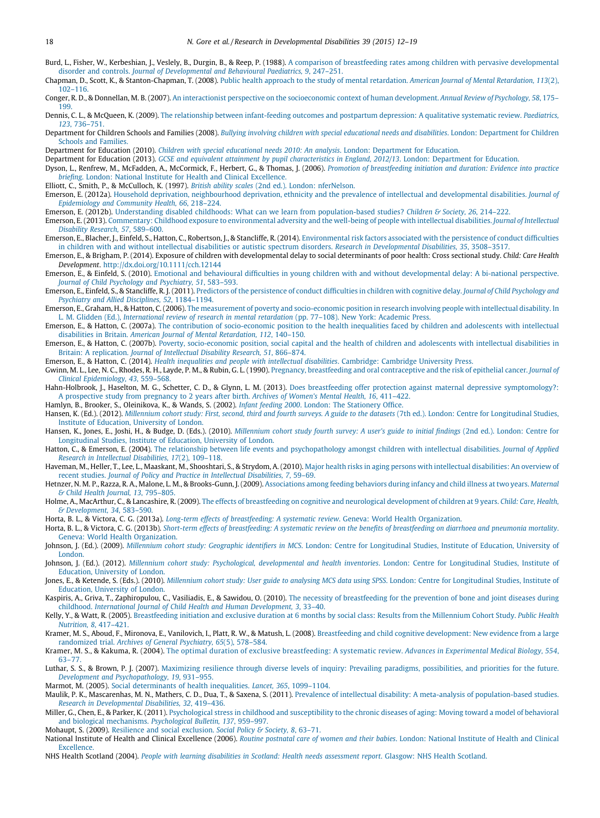- <span id="page-7-0"></span>Burd, L., Fisher, W., Kerbeshian, J., Veslely, B., Durgin, B., & Reep, P. (1988). [A comparison of breastfeeding rates among children with pervasive developmental](http://refhub.elsevier.com/S0891-4222(14)00542-3/sbref0020) disorder and controls. [Journal of Developmental and Behavioural Paediatrics, 9](http://refhub.elsevier.com/S0891-4222(14)00542-3/sbref0020), 247–251.
- Chapman, D., Scott, K., & Stanton-Chapman, T. (2008). [Public health approach to the study of mental retardation.](http://refhub.elsevier.com/S0891-4222(14)00542-3/sbref0025) American Journal of Mental Retardation, 113(2), [102–116](http://refhub.elsevier.com/S0891-4222(14)00542-3/sbref0025).
- Conger, R. D., & Donnellan, M. B. (2007). [An interactionist perspective on the socioeconomic context of human development.](http://refhub.elsevier.com/S0891-4222(14)00542-3/sbref0030) Annual Review of Psychology, 58, 175– [199](http://refhub.elsevier.com/S0891-4222(14)00542-3/sbref0030).
- Dennis, C. L., & McQueen, K. (2009). [The relationship between infant-feeding outcomes and postpartum depression: A qualitative systematic review.](http://refhub.elsevier.com/S0891-4222(14)00542-3/sbref0035) Paediatrics, 123[, 736–751](http://refhub.elsevier.com/S0891-4222(14)00542-3/sbref0035).
- Department for Children Schools and Families (2008). [Bullying involving children with special educational needs and disabilities](http://refhub.elsevier.com/S0891-4222(14)00542-3/sbref0040). London: Department for Children [Schools and Families.](http://refhub.elsevier.com/S0891-4222(14)00542-3/sbref0040)
- Department for Education (2010). [Children with special educational needs 2010: An analysis](http://refhub.elsevier.com/S0891-4222(14)00542-3/sbref0045). London: Department for Education.
- Department for Education (2013). [GCSE and equivalent attainment by pupil characteristics in England, 2012/13](http://refhub.elsevier.com/S0891-4222(14)00542-3/sbref0050). London: Department for Education.
- Dyson, L., Renfrew, M., McFadden, A., McCormick, F., Herbert, G., & Thomas, J. (2006). [Promotion of breastfeeding initiation and duration: Evidence into practice](http://refhub.elsevier.com/S0891-4222(14)00542-3/sbref0055) briefing[. London: National Institute for Health and Clinical Excellence.](http://refhub.elsevier.com/S0891-4222(14)00542-3/sbref0055)
- Elliott, C., Smith, P., & McCulloch, K. (1997). British ability scales [\(2nd ed.\). London: nferNelson.](http://refhub.elsevier.com/S0891-4222(14)00542-3/sbref0060)
- Emerson, E. (2012a). [Household deprivation, neighbourhood deprivation, ethnicity and the prevalence of intellectual and developmental disabilities.](http://refhub.elsevier.com/S0891-4222(14)00542-3/sbref0065) Journal of [Epidemiology and Community Health, 66](http://refhub.elsevier.com/S0891-4222(14)00542-3/sbref0065), 218–224.
- Emerson, E. (2012b). [Understanding disabled childhoods: What can we learn from population-based studies?](http://refhub.elsevier.com/S0891-4222(14)00542-3/sbref0070) Children & Society, 26, 214-222.
- Emerson, E. (2013). [Commentary: Childhood exposure to environmental adversity and the well-being of people with intellectual disabilities.](http://refhub.elsevier.com/S0891-4222(14)00542-3/sbref0075) Journal of Intellectual [Disability Research, 57](http://refhub.elsevier.com/S0891-4222(14)00542-3/sbref0075), 589–600.
- Emerson, E., Blacher, J., Einfeld, S., Hatton, C., Robertson, J., & Stancliffe, R. (2014). [Environmental risk factors associated with the persistence of conduct difficulties](http://refhub.elsevier.com/S0891-4222(14)00542-3/sbref0080) [in children with and without intellectual disabilities or autistic spectrum disorders.](http://refhub.elsevier.com/S0891-4222(14)00542-3/sbref0080) Research in Developmental Disabilities, 35, 3508–3517.
- Emerson, E., & Brigham, P. (2014). Exposure of children with developmental delay to social determinants of poor health: Cross sectional study. Child: Care Health Development. <http://dx.doi.org/10.1111/cch.12144>
- Emerson, E., & Einfeld, S. (2010). [Emotional and behavioural difficulties in young children with and without developmental delay: A bi-national perspective.](http://refhub.elsevier.com/S0891-4222(14)00542-3/sbref0090) [Journal of Child Psychology and Psychiatry, 51](http://refhub.elsevier.com/S0891-4222(14)00542-3/sbref0090), 583–593.
- Emerson, E., Einfeld, S., & Stancliffe, R. J. (2011). [Predictors of the persistence of conduct difficulties in children with cognitive delay.](http://refhub.elsevier.com/S0891-4222(14)00542-3/sbref0095) Journal of Child Psychology and [Psychiatry and Allied Disciplines, 52](http://refhub.elsevier.com/S0891-4222(14)00542-3/sbref0095), 1184–1194.
- Emerson, E., Graham, H., & Hatton, C. (2006). [The measurement of poverty and socio-economic position in research involving people with intellectual disability. In](http://refhub.elsevier.com/S0891-4222(14)00542-3/sbref0100) L. M. Glidden (Ed.), [International review of research in mental retardation](http://refhub.elsevier.com/S0891-4222(14)00542-3/sbref0100) (pp. 77–108). New York: Academic Press.
- Emerson, E., & Hatton, C. (2007a). [The contribution of socio-economic position to the health inequalities faced by children and adolescents with intellectual](http://refhub.elsevier.com/S0891-4222(14)00542-3/sbref0105) disabilities in Britain. [American Journal of Mental Retardation, 112](http://refhub.elsevier.com/S0891-4222(14)00542-3/sbref0105), 140–150.
- Emerson, E., & Hatton, C. (2007b). [Poverty, socio-economic position, social capital and the health of children and adolescents with intellectual disabilities in](http://refhub.elsevier.com/S0891-4222(14)00542-3/sbref0110) Britain: A replication. [Journal of Intellectual Disability Research, 51](http://refhub.elsevier.com/S0891-4222(14)00542-3/sbref0110), 866–874.
- Emerson, E., & Hatton, C. (2014). [Health inequalities and people with intellectual disabilities](http://refhub.elsevier.com/S0891-4222(14)00542-3/sbref0115). Cambridge: Cambridge University Press.
- Gwinn, M. L., Lee, N. C., Rhodes, R. H., Layde, P. M., & Rubin, G. L. (1990). [Pregnancy, breastfeeding and oral contraceptive and the risk of epithelial cancer.](http://refhub.elsevier.com/S0891-4222(14)00542-3/sbref0120) Journal of [Clinical Epidemiology, 43](http://refhub.elsevier.com/S0891-4222(14)00542-3/sbref0120), 559–568.
- Hahn-Holbrook, J., Haselton, M. G., Schetter, C. D., & Glynn, L. M. (2013). [Does breastfeeding offer protection against maternal depressive symptomology?:](http://refhub.elsevier.com/S0891-4222(14)00542-3/sbref0125) [A prospective study from pregnancy to 2 years after birth.](http://refhub.elsevier.com/S0891-4222(14)00542-3/sbref0125) Archives of Women's Mental Health, 16, 411–422.
- Hamlyn, B., Brooker, S., Oleinikova, K., & Wands, S. (2002). Infant feeding 2000[. London: The Stationery Office.](http://refhub.elsevier.com/S0891-4222(14)00542-3/sbref0130)
- Hansen, K. (Ed.). (2012). [Millennium cohort study: First, second, third and fourth surveys. A guide to the datasets](http://refhub.elsevier.com/S0891-4222(14)00542-3/sbref0135) (7th ed.). London: Centre for Longitudinal Studies, [Institute of Education, University of London](http://refhub.elsevier.com/S0891-4222(14)00542-3/sbref0135).
- Hansen, K., Jones, E., Joshi, H., & Budge, D. (Eds.). (2010). [Millennium cohort study fourth survey: A user's guide to initial findings](http://refhub.elsevier.com/S0891-4222(14)00542-3/sbref0140) (2nd ed.). London: Centre for [Longitudinal Studies, Institute of Education, University of London.](http://refhub.elsevier.com/S0891-4222(14)00542-3/sbref0140)
- Hatton, C., & Emerson, E. (2004). [The relationship between life events and psychopathology amongst children with intellectual disabilities.](http://refhub.elsevier.com/S0891-4222(14)00542-3/sbref0145) Journal of Applied [Research in Intellectual Disabilities, 17](http://refhub.elsevier.com/S0891-4222(14)00542-3/sbref0145)(2), 109–118.
- Haveman, M., Heller, T., Lee, L., Maaskant, M., Shooshtari, S., & Strydom, A. (2010). [Major health risks in aging persons with intellectual disabilities: An overview of](http://refhub.elsevier.com/S0891-4222(14)00542-3/sbref0150) recent studies. [Journal of Policy and Practice in Intellectual Disabilities, 7](http://refhub.elsevier.com/S0891-4222(14)00542-3/sbref0150), 59–69.
- Hetnzer, N. M. P., Razza, R. A., Malone, L. M., & Brooks-Gunn, J. (2009). [Associations among feeding behaviors during infancy and child illness at two years.](http://refhub.elsevier.com/S0891-4222(14)00542-3/sbref0155) Maternal [& Child Health Journal, 13](http://refhub.elsevier.com/S0891-4222(14)00542-3/sbref0155), 795–805.
- Holme, A., MacArthur, C., & Lancashire, R. (2009). [The effects of breastfeeding on cognitive and neurological development of children at 9 years.](http://refhub.elsevier.com/S0891-4222(14)00542-3/sbref0160) Child: Care, Health, [& Development, 34](http://refhub.elsevier.com/S0891-4222(14)00542-3/sbref0160), 583–590.
- Horta, B. L., & Victora, C. G. (2013a). [Long-term effects of breastfeeding: A systematic review](http://refhub.elsevier.com/S0891-4222(14)00542-3/sbref0165). Geneva: World Health Organization.
- Horta, B. L., & Victora, C. G. (2013b). [Short-term effects of breastfeeding: A systematic review on the benefits of breastfeeding on diarrhoea and pneumonia mortality](http://refhub.elsevier.com/S0891-4222(14)00542-3/sbref0170). [Geneva: World Health Organization.](http://refhub.elsevier.com/S0891-4222(14)00542-3/sbref0170)
- Johnson, J. (Ed.). (2009). Millennium cohort study: Geographic identifiers in MCS[. London: Centre for Longitudinal Studies, Institute of Education, University of](http://refhub.elsevier.com/S0891-4222(14)00542-3/sbref0175) **London**
- Johnson, J. (Ed.). (2012). [Millennium cohort study: Psychological, developmental and health inventories](http://refhub.elsevier.com/S0891-4222(14)00542-3/sbref0180). London: Centre for Longitudinal Studies, Institute of [Education, University of London](http://refhub.elsevier.com/S0891-4222(14)00542-3/sbref0180).
- Jones, E., & Ketende, S. (Eds.). (2010). [Millennium cohort study: User guide to analysing MCS data using SPSS](http://refhub.elsevier.com/S0891-4222(14)00542-3/sbref0185). London: Centre for Longitudinal Studies, Institute of [Education, University of London](http://refhub.elsevier.com/S0891-4222(14)00542-3/sbref0185).
- Kaspiris, A., Griva, T., Zaphiropulou, C., Vasiliadis, E., & Sawidou, O. (2010). [The necessity of breastfeeding for the prevention of bone and joint diseases during](http://refhub.elsevier.com/S0891-4222(14)00542-3/sbref0190) childhood. [International Journal of Child Health and Human Development, 3](http://refhub.elsevier.com/S0891-4222(14)00542-3/sbref0190), 33–40.
- Kelly, Y., & Watt, R. (2005). [Breastfeeding initiation and exclusive duration at 6 months by social class: Results from the Millennium Cohort Study.](http://refhub.elsevier.com/S0891-4222(14)00542-3/sbref0195) Public Health [Nutrition, 8](http://refhub.elsevier.com/S0891-4222(14)00542-3/sbref0195), 417–421.
- Kramer, M. S., Aboud, F., Mironova, E., Vanilovich, I., Platt, R. W., & Matush, L. (2008). [Breastfeeding and child cognitive development: New evidence from a large](http://refhub.elsevier.com/S0891-4222(14)00542-3/sbref0200) randomized trial. [Archives of General Psychiatry, 65](http://refhub.elsevier.com/S0891-4222(14)00542-3/sbref0200)(5), 578–584.
- Kramer, M. S., & Kakuma, R. (2004). [The optimal duration of exclusive breastfeeding: A systematic review.](http://refhub.elsevier.com/S0891-4222(14)00542-3/sbref0205) Advances in Experimental Medical Biology, 554, [63–77](http://refhub.elsevier.com/S0891-4222(14)00542-3/sbref0205).
- Luthar, S. S., & Brown, P. J. (2007). [Maximizing resilience through diverse levels of inquiry: Prevailing paradigms, possibilities, and priorities for the future.](http://refhub.elsevier.com/S0891-4222(14)00542-3/sbref0210) [Development and Psychopathology, 19](http://refhub.elsevier.com/S0891-4222(14)00542-3/sbref0210), 931–955.
- Marmot, M. (2005). [Social determinants of health inequalities.](http://refhub.elsevier.com/S0891-4222(14)00542-3/sbref0215) Lancet, 365, 1099–1104.
- Maulik, P. K., Mascarenhas, M. N., Mathers, C. D., Dua, T., & Saxena, S. (2011). [Prevalence of intellectual disability: A meta-analysis of population-based studies.](http://refhub.elsevier.com/S0891-4222(14)00542-3/sbref0220) [Research in Developmental Disabilities, 32](http://refhub.elsevier.com/S0891-4222(14)00542-3/sbref0220), 419–436.
- Miller, G., Chen, E., & Parker, K. (2011). [Psychological stress in childhood and susceptibility to the chronic diseases of aging: Moving toward a model of behavioral](http://refhub.elsevier.com/S0891-4222(14)00542-3/sbref0225) [and biological mechanisms.](http://refhub.elsevier.com/S0891-4222(14)00542-3/sbref0225) Psychological Bulletin, 137, 959–997.
- Mohaupt, S. (2009). [Resilience and social exclusion.](http://refhub.elsevier.com/S0891-4222(14)00542-3/sbref0230) Social Policy & Society, 8, 63-71.
- National Institute of Health and Clinical Excellence (2006). Routine postnatal care of women and their babies[. London: National Institute of Health and Clinical](http://refhub.elsevier.com/S0891-4222(14)00542-3/sbref0235) [Excellence.](http://refhub.elsevier.com/S0891-4222(14)00542-3/sbref0235)
- NHS Health Scotland (2004). [People with learning disabilities in Scotland: Health needs assessment report](http://refhub.elsevier.com/S0891-4222(14)00542-3/sbref0240). Glasgow: NHS Health Scotland.